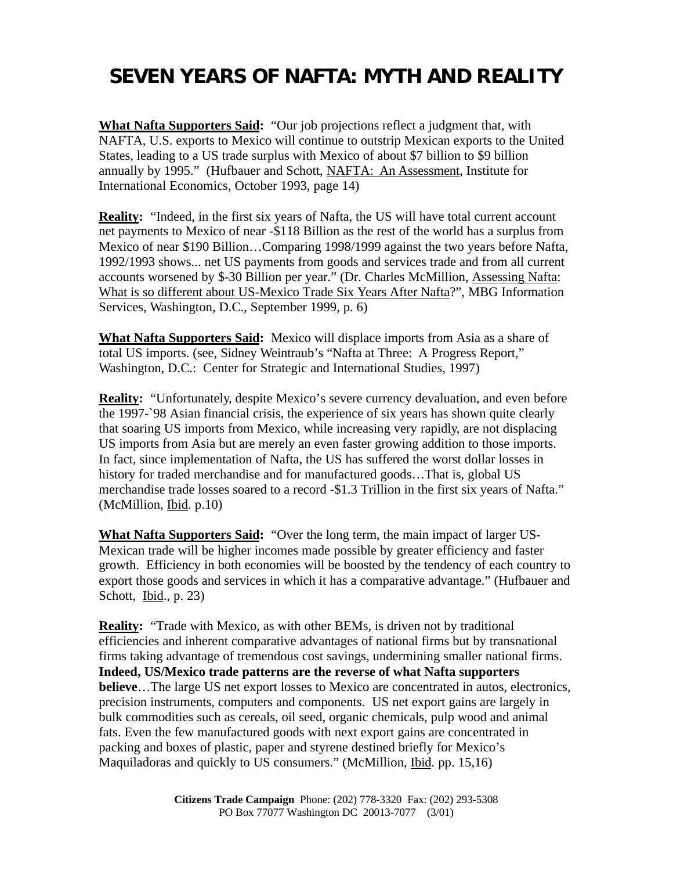## **SEVEN YEARS OF NAFTA: MYTH AND REALITY**

**What Nafta Supporters Said:** "Our job projections reflect a judgment that, with NAFTA, U.S. exports to Mexico will continue to outstrip Mexican exports to the United States, leading to a US trade surplus with Mexico of about \$7 billion to \$9 billion annually by 1995." (Hufbauer and Schott, NAFTA: An Assessment, Institute for International Economics, October 1993, page 14)

**Reality:** "Indeed, in the first six years of Nafta, the US will have total current account net payments to Mexico of near -\$118 Billion as the rest of the world has a surplus from Mexico of near \$190 Billion…Comparing 1998/1999 against the two years before Nafta, 1992/1993 shows... net US payments from goods and services trade and from all current accounts worsened by \$-30 Billion per year." (Dr. Charles McMillion, Assessing Nafta: What is so different about US-Mexico Trade Six Years After Nafta?", MBG Information Services, Washington, D.C., September 1999, p. 6)

**What Nafta Supporters Said:** Mexico will displace imports from Asia as a share of total US imports. (see, Sidney Weintraub's "Nafta at Three: A Progress Report," Washington, D.C.: Center for Strategic and International Studies, 1997)

**Reality:** "Unfortunately, despite Mexico's severe currency devaluation, and even before the 1997-`98 Asian financial crisis, the experience of six years has shown quite clearly that soaring US imports from Mexico, while increasing very rapidly, are not displacing US imports from Asia but are merely an even faster growing addition to those imports. In fact, since implementation of Nafta, the US has suffered the worst dollar losses in history for traded merchandise and for manufactured goods…That is, global US merchandise trade losses soared to a record -\$1.3 Trillion in the first six years of Nafta." (McMillion, Ibid. p.10)

**What Nafta Supporters Said:** "Over the long term, the main impact of larger US-Mexican trade will be higher incomes made possible by greater efficiency and faster growth. Efficiency in both economies will be boosted by the tendency of each country to export those goods and services in which it has a comparative advantage." (Hufbauer and Schott, Ibid., p. 23)

**Reality:** "Trade with Mexico, as with other BEMs, is driven not by traditional efficiencies and inherent comparative advantages of national firms but by transnational firms taking advantage of tremendous cost savings, undermining smaller national firms. **Indeed, US/Mexico trade patterns are the reverse of what Nafta supporters believe**…The large US net export losses to Mexico are concentrated in autos, electronics, precision instruments, computers and components. US net export gains are largely in bulk commodities such as cereals, oil seed, organic chemicals, pulp wood and animal fats. Even the few manufactured goods with next export gains are concentrated in packing and boxes of plastic, paper and styrene destined briefly for Mexico's Maquiladoras and quickly to US consumers." (McMillion, Ibid. pp. 15,16)